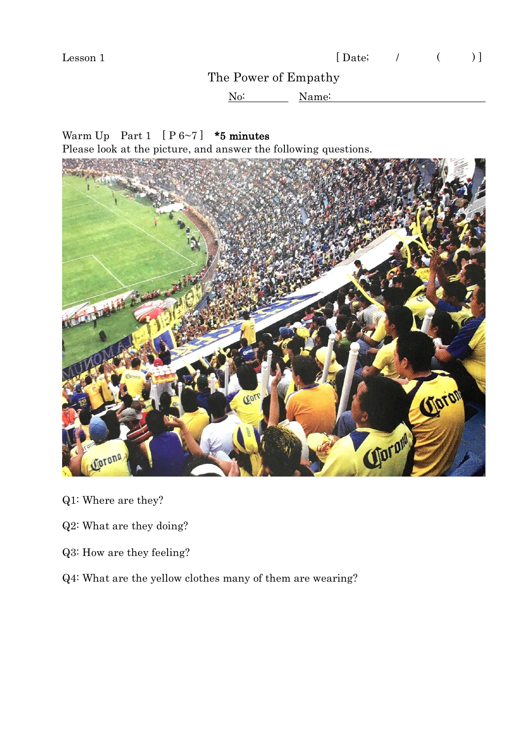## The Power of Empathy

No: Name:

Warm Up Part 1  $[P 6~7]$  \*5 minutes

Please look at the picture, and answer the following questions.



- Q1: Where are they?
- Q2: What are they doing?
- Q3: How are they feeling?
- Q4: What are the yellow clothes many of them are wearing?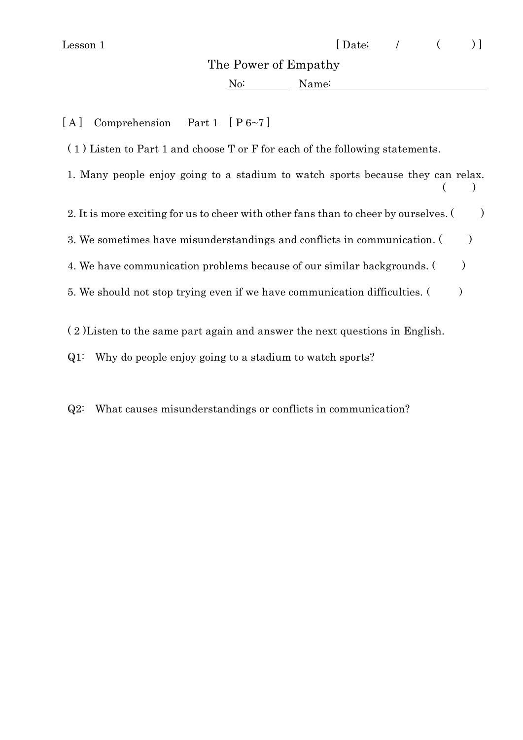## The Power of Empathy

No: Name:

[A] Comprehension Part 1 [P6~7]

( 1 ) Listen to Part 1 and choose T or F for each of the following statements.

1. Many people enjoy going to a stadium to watch sports because they can relax.  $($ 

2. It is more exciting for us to cheer with other fans than to cheer by ourselves.  $($ )

3. We sometimes have misunderstandings and conflicts in communication. ()

4. We have communication problems because of our similar backgrounds.  $($ 

5. We should not stop trying even if we have communication difficulties.  $($ 

( 2 )Listen to the same part again and answer the next questions in English.

Q1: Why do people enjoy going to a stadium to watch sports?

Q2: What causes misunderstandings or conflicts in communication?